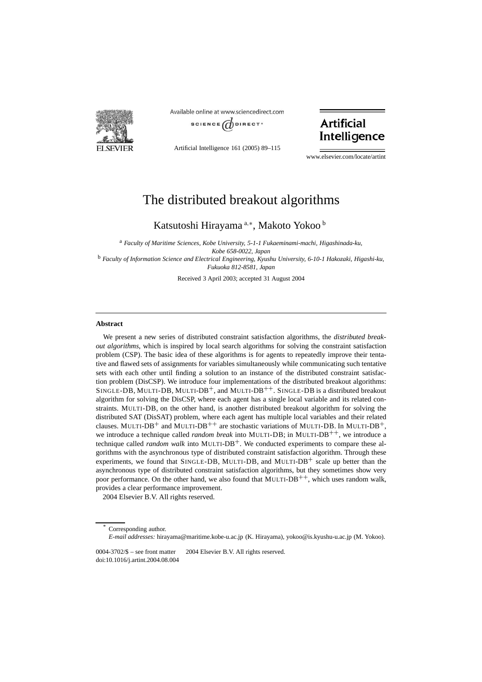

Available online at www.sciencedirect.com



Artificial Intelligence 161 (2005) 89–115

# **Artificial** Intelligence

www.elsevier.com/locate/artint

# The distributed breakout algorithms

Katsutoshi Hirayama <sup>a</sup>*,*<sup>∗</sup> , Makoto Yokoo <sup>b</sup>

<sup>a</sup> *Faculty of Maritime Sciences, Kobe University, 5-1-1 Fukaeminami-machi, Higashinada-ku, Kobe 658-0022, Japan* <sup>b</sup> *Faculty of Information Science and Electrical Engineering, Kyushu University, 6-10-1 Hakozaki, Higashi-ku,*

*Fukuoka 812-8581, Japan*

Received 3 April 2003; accepted 31 August 2004

#### **Abstract**

We present a new series of distributed constraint satisfaction algorithms, the *distributed breakout algorithms*, which is inspired by local search algorithms for solving the constraint satisfaction problem (CSP). The basic idea of these algorithms is for agents to repeatedly improve their tentative and flawed sets of assignments for variables simultaneously while communicating such tentative sets with each other until finding a solution to an instance of the distributed constraint satisfaction problem (DisCSP). We introduce four implementations of the distributed breakout algorithms:  $SINGLE-DB$ , MULTI-DB, MULTI-DB<sup>+</sup>, and MULTI-DB<sup>++</sup>. SINGLE-DB is a distributed breakout algorithm for solving the DisCSP, where each agent has a single local variable and its related constraints. MULTI-DB, on the other hand, is another distributed breakout algorithm for solving the distributed SAT (DisSAT) problem, where each agent has multiple local variables and their related clauses. MULTI-DB<sup>+</sup> and MULTI-DB<sup>++</sup> are stochastic variations of MULTI-DB. In MULTI-DB<sup>+</sup>, we introduce a technique called *random break* into MULTI-DB; in MULTI-DB<sup>++</sup>, we introduce a technique called *random walk* into MULTI-DB+. We conducted experiments to compare these algorithms with the asynchronous type of distributed constraint satisfaction algorithm. Through these experiments, we found that  $SINGLE-DB$ ,  $MULTI-DB$ , and  $MULTI-DB<sup>+</sup>$  scale up better than the asynchronous type of distributed constraint satisfaction algorithms, but they sometimes show very poor performance. On the other hand, we also found that MULTI-DB<sup>++</sup>, which uses random walk, provides a clear performance improvement.

2004 Elsevier B.V. All rights reserved.

Corresponding author. *E-mail addresses:* hirayama@maritime.kobe-u.ac.jp (K. Hirayama), yokoo@is.kyushu-u.ac.jp (M. Yokoo).

0004-3702/\$ – see front matter © 2004 Elsevier B.V. All rights reserved. doi:10.1016/j.artint.2004.08.004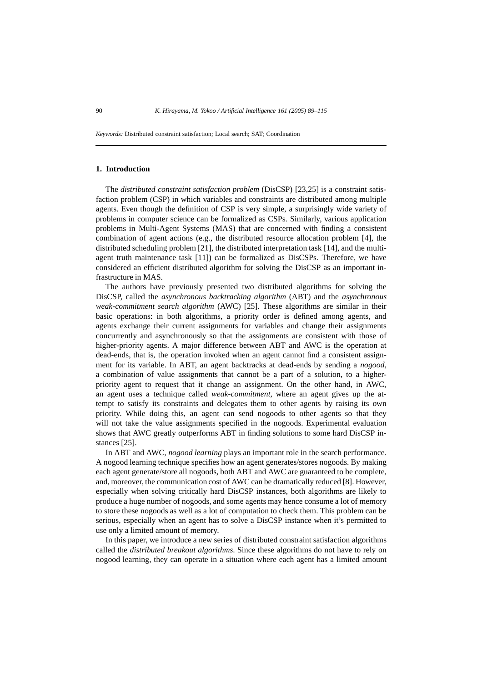*Keywords:* Distributed constraint satisfaction; Local search; SAT; Coordination

# **1. Introduction**

The *distributed constraint satisfaction problem* (DisCSP) [23,25] is a constraint satisfaction problem (CSP) in which variables and constraints are distributed among multiple agents. Even though the definition of CSP is very simple, a surprisingly wide variety of problems in computer science can be formalized as CSPs. Similarly, various application problems in Multi-Agent Systems (MAS) that are concerned with finding a consistent combination of agent actions (e.g., the distributed resource allocation problem [4], the distributed scheduling problem [21], the distributed interpretation task [14], and the multiagent truth maintenance task [11]) can be formalized as DisCSPs. Therefore, we have considered an efficient distributed algorithm for solving the DisCSP as an important infrastructure in MAS.

The authors have previously presented two distributed algorithms for solving the DisCSP, called the *asynchronous backtracking algorithm* (ABT) and the *asynchronous weak-commitment search algorithm* (AWC) [25]. These algorithms are similar in their basic operations: in both algorithms, a priority order is defined among agents, and agents exchange their current assignments for variables and change their assignments concurrently and asynchronously so that the assignments are consistent with those of higher-priority agents. A major difference between ABT and AWC is the operation at dead-ends, that is, the operation invoked when an agent cannot find a consistent assignment for its variable. In ABT, an agent backtracks at dead-ends by sending a *nogood*, a combination of value assignments that cannot be a part of a solution, to a higherpriority agent to request that it change an assignment. On the other hand, in AWC, an agent uses a technique called *weak-commitment*, where an agent gives up the attempt to satisfy its constraints and delegates them to other agents by raising its own priority. While doing this, an agent can send nogoods to other agents so that they will not take the value assignments specified in the nogoods. Experimental evaluation shows that AWC greatly outperforms ABT in finding solutions to some hard DisCSP instances [25].

In ABT and AWC, *nogood learning* plays an important role in the search performance. A nogood learning technique specifies how an agent generates/stores nogoods. By making each agent generate/store all nogoods, both ABT and AWC are guaranteed to be complete, and, moreover, the communication cost of AWC can be dramatically reduced [8]. However, especially when solving critically hard DisCSP instances, both algorithms are likely to produce a huge number of nogoods, and some agents may hence consume a lot of memory to store these nogoods as well as a lot of computation to check them. This problem can be serious, especially when an agent has to solve a DisCSP instance when it's permitted to use only a limited amount of memory.

In this paper, we introduce a new series of distributed constraint satisfaction algorithms called the *distributed breakout algorithms*. Since these algorithms do not have to rely on nogood learning, they can operate in a situation where each agent has a limited amount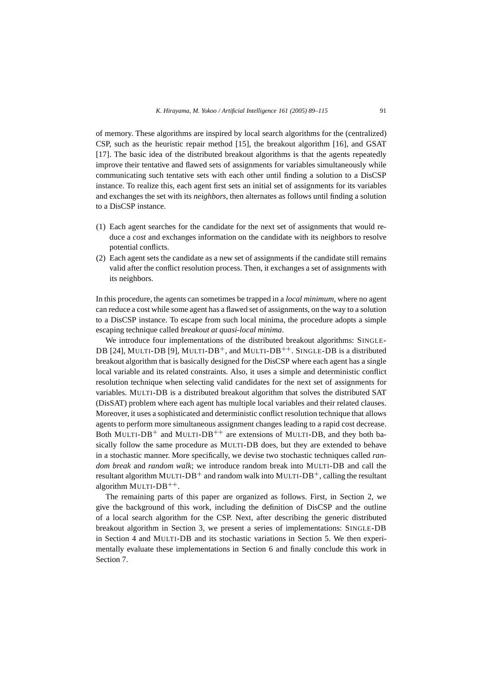of memory. These algorithms are inspired by local search algorithms for the (centralized) CSP, such as the heuristic repair method [15], the breakout algorithm [16], and GSAT [17]. The basic idea of the distributed breakout algorithms is that the agents repeatedly improve their tentative and flawed sets of assignments for variables simultaneously while communicating such tentative sets with each other until finding a solution to a DisCSP instance. To realize this, each agent first sets an initial set of assignments for its variables and exchanges the set with its *neighbors*, then alternates as follows until finding a solution to a DisCSP instance.

- (1) Each agent searches for the candidate for the next set of assignments that would reduce a *cost* and exchanges information on the candidate with its neighbors to resolve potential conflicts.
- (2) Each agent sets the candidate as a new set of assignments if the candidate still remains valid after the conflict resolution process. Then, it exchanges a set of assignments with its neighbors.

In this procedure, the agents can sometimes be trapped in a *local minimum*, where no agent can reduce a cost while some agent has a flawed set of assignments, on the way to a solution to a DisCSP instance. To escape from such local minima, the procedure adopts a simple escaping technique called *breakout at quasi-local minima*.

We introduce four implementations of the distributed breakout algorithms: SINGLE-DB [24], MULTI-DB [9], MULTI-DB<sup>+</sup>, and MULTI-DB<sup>++</sup>. SINGLE-DB is a distributed breakout algorithm that is basically designed for the DisCSP where each agent has a single local variable and its related constraints. Also, it uses a simple and deterministic conflict resolution technique when selecting valid candidates for the next set of assignments for variables. MULTI-DB is a distributed breakout algorithm that solves the distributed SAT (DisSAT) problem where each agent has multiple local variables and their related clauses. Moreover, it uses a sophisticated and deterministic conflict resolution technique that allows agents to perform more simultaneous assignment changes leading to a rapid cost decrease. Both MULTI-DB<sup>+</sup> and MULTI-DB<sup>++</sup> are extensions of MULTI-DB, and they both basically follow the same procedure as MULTI-DB does, but they are extended to behave in a stochastic manner. More specifically, we devise two stochastic techniques called *random break* and *random walk*; we introduce random break into MULTI-DB and call the resultant algorithm MULTI-DB<sup>+</sup> and random walk into MULTI-DB<sup>+</sup>, calling the resultant algorithm MULTI- $DB^{++}$ .

The remaining parts of this paper are organized as follows. First, in Section 2, we give the background of this work, including the definition of DisCSP and the outline of a local search algorithm for the CSP. Next, after describing the generic distributed breakout algorithm in Section 3, we present a series of implementations: SINGLE-DB in Section 4 and MULTI-DB and its stochastic variations in Section 5. We then experimentally evaluate these implementations in Section 6 and finally conclude this work in Section 7.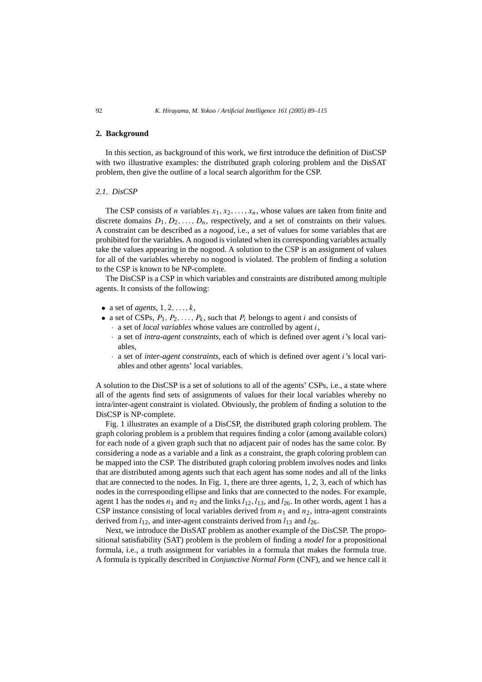# **2. Background**

In this section, as background of this work, we first introduce the definition of DisCSP with two illustrative examples: the distributed graph coloring problem and the DisSAT problem, then give the outline of a local search algorithm for the CSP.

#### *2.1. DisCSP*

The CSP consists of *n* variables  $x_1, x_2, \ldots, x_n$ , whose values are taken from finite and discrete domains  $D_1, D_2, \ldots, D_n$ , respectively, and a set of constraints on their values. A constraint can be described as a *nogood*, i.e., a set of values for some variables that are prohibited for the variables. A nogood is violated when its corresponding variables actually take the values appearing in the nogood. A solution to the CSP is an assignment of values for all of the variables whereby no nogood is violated. The problem of finding a solution to the CSP is known to be NP-complete.

The DisCSP is a CSP in which variables and constraints are distributed among multiple agents. It consists of the following:

- a set of *agents*,  $1, 2, \ldots, k$ ,
- a set of CSPs,  $P_1, P_2, \ldots, P_k$ , such that  $P_i$  belongs to agent *i* and consists of
	- · a set of *local variables* whose values are controlled by agent *i*,
	- · a set of *intra-agent constraints*, each of which is defined over agent *i*'s local variables,
	- · a set of *inter-agent constraints*, each of which is defined over agent *i*'s local variables and other agents' local variables.

A solution to the DisCSP is a set of solutions to all of the agents' CSPs, i.e., a state where all of the agents find sets of assignments of values for their local variables whereby no intra/inter-agent constraint is violated. Obviously, the problem of finding a solution to the DisCSP is NP-complete.

Fig. 1 illustrates an example of a DisCSP, the distributed graph coloring problem. The graph coloring problem is a problem that requires finding a color (among available colors) for each node of a given graph such that no adjacent pair of nodes has the same color. By considering a node as a variable and a link as a constraint, the graph coloring problem can be mapped into the CSP. The distributed graph coloring problem involves nodes and links that are distributed among agents such that each agent has some nodes and all of the links that are connected to the nodes. In Fig. 1, there are three agents, 1, 2, 3, each of which has nodes in the corresponding ellipse and links that are connected to the nodes. For example, agent 1 has the nodes  $n_1$  and  $n_2$  and the links  $l_{12}$ ,  $l_{13}$ , and  $l_{26}$ . In other words, agent 1 has a CSP instance consisting of local variables derived from  $n_1$  and  $n_2$ , intra-agent constraints derived from *l*12, and inter-agent constraints derived from *l*<sup>13</sup> and *l*26.

Next, we introduce the DisSAT problem as another example of the DisCSP. The propositional satisfiability (SAT) problem is the problem of finding a *model* for a propositional formula, i.e., a truth assignment for variables in a formula that makes the formula true. A formula is typically described in *Conjunctive Normal Form* (CNF), and we hence call it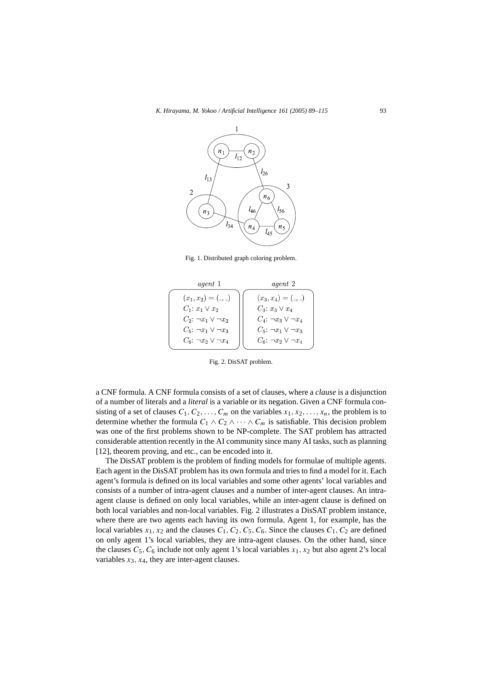

Fig. 1. Distributed graph coloring problem.

| <i>agent</i> 1                | agent 2                          |
|-------------------------------|----------------------------------|
| $(x_1, x_2) = (0, 0)$         | $(x_3, x_4) = (2, 2)$            |
| $C_1: x_1 \vee x_2$           | $C_3: x_3 \vee x_4$              |
| $C_2: \neg x_1 \vee \neg x_2$ | $C_4$ : $\neg x_3 \vee \neg x_4$ |
| $C_5: \neg x_1 \vee \neg x_3$ | $C_5: \neg x_1 \vee \neg x_3$    |
| $C_6: \neg x_2 \vee \neg x_4$ | $C_6$ : $\neg x_2 \vee \neg x_4$ |
|                               |                                  |

Fig. 2. DisSAT problem.

a CNF formula. A CNF formula consists of a set of clauses, where a *clause* is a disjunction of a number of literals and a *literal* is a variable or its negation. Given a CNF formula consisting of a set of clauses  $C_1, C_2, \ldots, C_m$  on the variables  $x_1, x_2, \ldots, x_n$ , the problem is to determine whether the formula  $C_1 \wedge C_2 \wedge \cdots \wedge C_m$  is satisfiable. This decision problem was one of the first problems shown to be NP-complete. The SAT problem has attracted considerable attention recently in the AI community since many AI tasks, such as planning [12], theorem proving, and etc., can be encoded into it.

The DisSAT problem is the problem of finding models for formulae of multiple agents. Each agent in the DisSAT problem has its own formula and tries to find a model for it. Each agent's formula is defined on its local variables and some other agents' local variables and consists of a number of intra-agent clauses and a number of inter-agent clauses. An intraagent clause is defined on only local variables, while an inter-agent clause is defined on both local variables and non-local variables. Fig. 2 illustrates a DisSAT problem instance, where there are two agents each having its own formula. Agent 1, for example, has the local variables  $x_1, x_2$  and the clauses  $C_1, C_2, C_5, C_6$ . Since the clauses  $C_1, C_2$  are defined on only agent 1's local variables, they are intra-agent clauses. On the other hand, since the clauses  $C_5$ ,  $C_6$  include not only agent 1's local variables  $x_1$ ,  $x_2$  but also agent 2's local variables *x*3*, x*4, they are inter-agent clauses.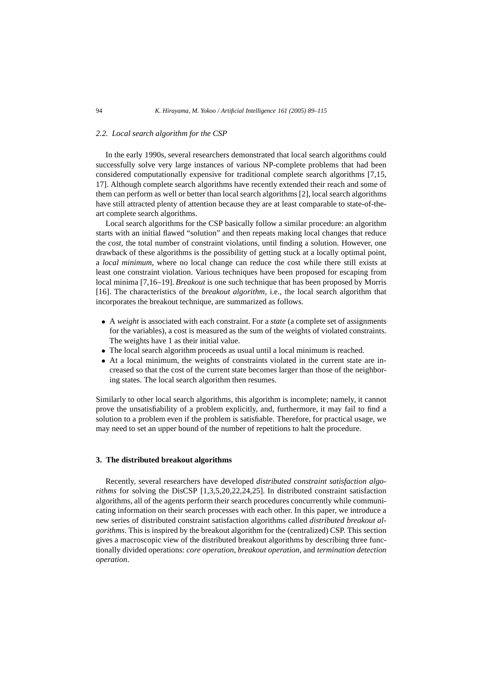#### *2.2. Local search algorithm for the CSP*

In the early 1990s, several researchers demonstrated that local search algorithms could successfully solve very large instances of various NP-complete problems that had been considered computationally expensive for traditional complete search algorithms [7,15, 17]. Although complete search algorithms have recently extended their reach and some of them can perform as well or better than local search algorithms [2], local search algorithms have still attracted plenty of attention because they are at least comparable to state-of-theart complete search algorithms.

Local search algorithms for the CSP basically follow a similar procedure: an algorithm starts with an initial flawed "solution" and then repeats making local changes that reduce the *cost*, the total number of constraint violations, until finding a solution. However, one drawback of these algorithms is the possibility of getting stuck at a locally optimal point, a *local minimum*, where no local change can reduce the cost while there still exists at least one constraint violation. Various techniques have been proposed for escaping from local minima [7,16–19]. *Breakout* is one such technique that has been proposed by Morris [16]. The characteristics of the *breakout algorithm*, i.e., the local search algorithm that incorporates the breakout technique, are summarized as follows.

- A *weight* is associated with each constraint. For a *state* (a complete set of assignments for the variables), a cost is measured as the sum of the weights of violated constraints. The weights have 1 as their initial value.
- The local search algorithm proceeds as usual until a local minimum is reached.
- At a local minimum, the weights of constraints violated in the current state are increased so that the cost of the current state becomes larger than those of the neighboring states. The local search algorithm then resumes.

Similarly to other local search algorithms, this algorithm is incomplete; namely, it cannot prove the unsatisfiability of a problem explicitly, and, furthermore, it may fail to find a solution to a problem even if the problem is satisfiable. Therefore, for practical usage, we may need to set an upper bound of the number of repetitions to halt the procedure.

# **3. The distributed breakout algorithms**

Recently, several researchers have developed *distributed constraint satisfaction algorithms* for solving the DisCSP [1,3,5,20,22,24,25]. In distributed constraint satisfaction algorithms, all of the agents perform their search procedures concurrently while communicating information on their search processes with each other. In this paper, we introduce a new series of distributed constraint satisfaction algorithms called *distributed breakout algorithms*. This is inspired by the breakout algorithm for the (centralized) CSP. This section gives a macroscopic view of the distributed breakout algorithms by describing three functionally divided operations: *core operation*, *breakout operation*, and *termination detection operation*.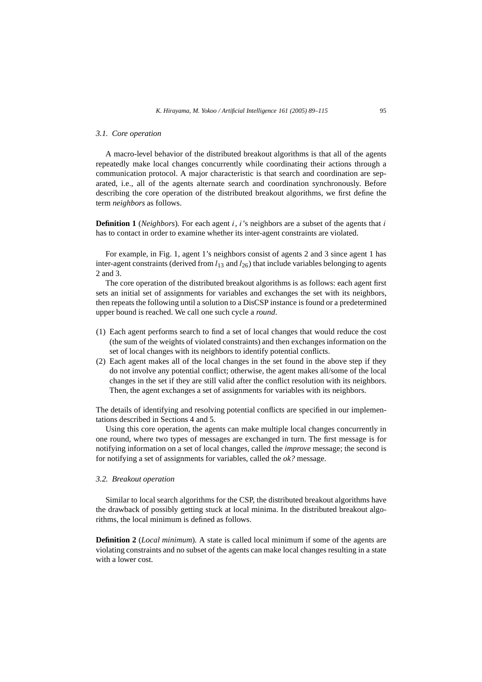#### *3.1. Core operation*

A macro-level behavior of the distributed breakout algorithms is that all of the agents repeatedly make local changes concurrently while coordinating their actions through a communication protocol. A major characteristic is that search and coordination are separated, i.e., all of the agents alternate search and coordination synchronously. Before describing the core operation of the distributed breakout algorithms, we first define the term *neighbors* as follows.

**Definition 1** (*Neighbors*)*.* For each agent *i*, *i*'s neighbors are a subset of the agents that *i* has to contact in order to examine whether its inter-agent constraints are violated.

For example, in Fig. 1, agent 1's neighbors consist of agents 2 and 3 since agent 1 has inter-agent constraints (derived from  $l_{13}$  and  $l_{26}$ ) that include variables belonging to agents 2 and 3.

The core operation of the distributed breakout algorithms is as follows: each agent first sets an initial set of assignments for variables and exchanges the set with its neighbors, then repeats the following until a solution to a DisCSP instance is found or a predetermined upper bound is reached. We call one such cycle a *round*.

- (1) Each agent performs search to find a set of local changes that would reduce the cost (the sum of the weights of violated constraints) and then exchanges information on the set of local changes with its neighbors to identify potential conflicts.
- (2) Each agent makes all of the local changes in the set found in the above step if they do not involve any potential conflict; otherwise, the agent makes all/some of the local changes in the set if they are still valid after the conflict resolution with its neighbors. Then, the agent exchanges a set of assignments for variables with its neighbors.

The details of identifying and resolving potential conflicts are specified in our implementations described in Sections 4 and 5.

Using this core operation, the agents can make multiple local changes concurrently in one round, where two types of messages are exchanged in turn. The first message is for notifying information on a set of local changes, called the *improve* message; the second is for notifying a set of assignments for variables, called the *ok?* message.

#### *3.2. Breakout operation*

Similar to local search algorithms for the CSP, the distributed breakout algorithms have the drawback of possibly getting stuck at local minima. In the distributed breakout algorithms, the local minimum is defined as follows.

**Definition 2** (*Local minimum*)*.* A state is called local minimum if some of the agents are violating constraints and no subset of the agents can make local changes resulting in a state with a lower cost.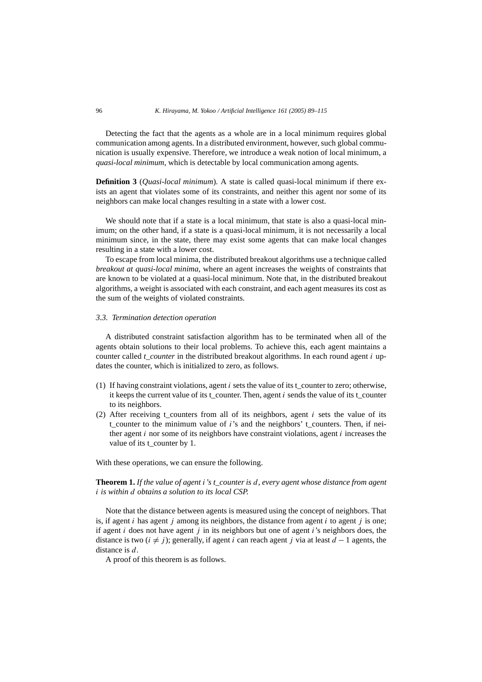Detecting the fact that the agents as a whole are in a local minimum requires global communication among agents. In a distributed environment, however, such global communication is usually expensive. Therefore, we introduce a weak notion of local minimum, a *quasi-local minimum*, which is detectable by local communication among agents.

**Definition 3** (*Quasi-local minimum*)*.* A state is called quasi-local minimum if there exists an agent that violates some of its constraints, and neither this agent nor some of its neighbors can make local changes resulting in a state with a lower cost.

We should note that if a state is a local minimum, that state is also a quasi-local minimum; on the other hand, if a state is a quasi-local minimum, it is not necessarily a local minimum since, in the state, there may exist some agents that can make local changes resulting in a state with a lower cost.

To escape from local minima, the distributed breakout algorithms use a technique called *breakout at quasi-local minima*, where an agent increases the weights of constraints that are known to be violated at a quasi-local minimum. Note that, in the distributed breakout algorithms, a weight is associated with each constraint, and each agent measures its cost as the sum of the weights of violated constraints.

# *3.3. Termination detection operation*

A distributed constraint satisfaction algorithm has to be terminated when all of the agents obtain solutions to their local problems. To achieve this, each agent maintains a counter called *t\_counter* in the distributed breakout algorithms. In each round agent *i* updates the counter, which is initialized to zero, as follows.

- (1) If having constraint violations, agent *i* sets the value of its t\_counter to zero; otherwise, it keeps the current value of its t\_counter. Then, agent *i* sends the value of its t\_counter to its neighbors.
- (2) After receiving t counters from all of its neighbors, agent  $i$  sets the value of its t counter to the minimum value of  $i$ 's and the neighbors' t counters. Then, if neither agent *i* nor some of its neighbors have constraint violations, agent *i* increases the value of its t\_counter by 1.

With these operations, we can ensure the following.

# **Theorem 1.** *If the value of agent i's t\_counter is d, every agent whose distance from agent i is within d obtains a solution to its local CSP.*

Note that the distance between agents is measured using the concept of neighbors. That is, if agent *i* has agent *j* among its neighbors, the distance from agent *i* to agent *j* is one; if agent *i* does not have agent *j* in its neighbors but one of agent *i*'s neighbors does, the distance is two  $(i \neq j)$ ; generally, if agent *i* can reach agent *j* via at least  $d-1$  agents, the distance is *d*.

A proof of this theorem is as follows.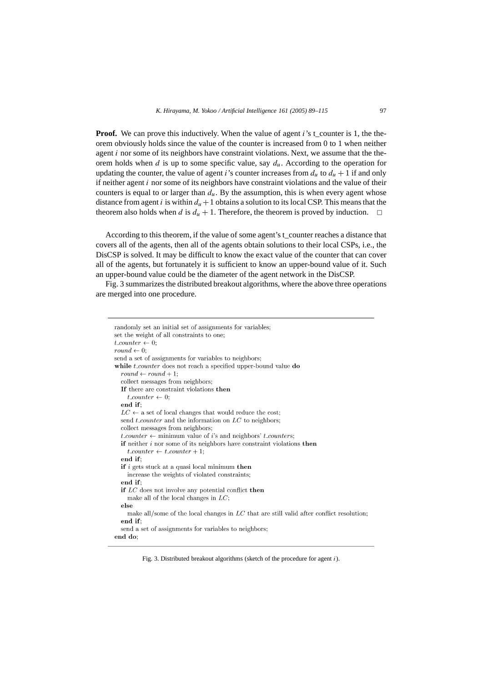**Proof.** We can prove this inductively. When the value of agent *i*'s t\_counter is 1, the theorem obviously holds since the value of the counter is increased from 0 to 1 when neither agent *i* nor some of its neighbors have constraint violations. Next, we assume that the theorem holds when *d* is up to some specific value, say  $d<sub>u</sub>$ . According to the operation for updating the counter, the value of agent *i*'s counter increases from  $d_u$  to  $d_u + 1$  if and only if neither agent *i* nor some of its neighbors have constraint violations and the value of their counters is equal to or larger than  $d<sub>u</sub>$ . By the assumption, this is when every agent whose distance from agent *i* is within  $d<sub>u</sub> + 1$  obtains a solution to its local CSP. This means that the theorem also holds when *d* is  $d<sub>u</sub> + 1$ . Therefore, the theorem is proved by induction.  $\Box$ 

According to this theorem, if the value of some agent's t\_counter reaches a distance that covers all of the agents, then all of the agents obtain solutions to their local CSPs, i.e., the DisCSP is solved. It may be difficult to know the exact value of the counter that can cover all of the agents, but fortunately it is sufficient to know an upper-bound value of it. Such an upper-bound value could be the diameter of the agent network in the DisCSP.

Fig. 3 summarizes the distributed breakout algorithms, where the above three operations are merged into one procedure.

```
randomly set an initial set of assignments for variables;
set the weight of all constraints to one:
t\_counter \leftarrow 0;round \leftarrow 0;
send a set of assignments for variables to neighbors;
while t_{\text{counter}} does not reach a specified upper-bound value do
  round \leftarrow round + 1;collect messages from neighbors:
  If there are constraint violations then
     t\_counter \leftarrow 0;end if:
  LC \leftarrow a set of local changes that would reduce the cost;
  send t_{\text{counter}} and the information on LC to neighbors;
  collect messages from neighbors;
  t_{\text{-}counter} \leftarrow \text{minimum value of } i's and neighbors' t_{\text{-}counters};
  if neither i nor some of its neighbors have constraint violations then
     t_{\text{-}counter} \leftarrow t_{\text{-}counter} + 1;end if:
  if i gets stuck at a quasi local minimum then
     increase the weights of violated constraints;
  end if:
  if LC does not involve any potential conflict then
     make all of the local changes in LC;
  else
     make all/some of the local changes in LC that are still valid after conflict resolution;
  end if:
  send a set of assignments for variables to neighbors;
end do;
```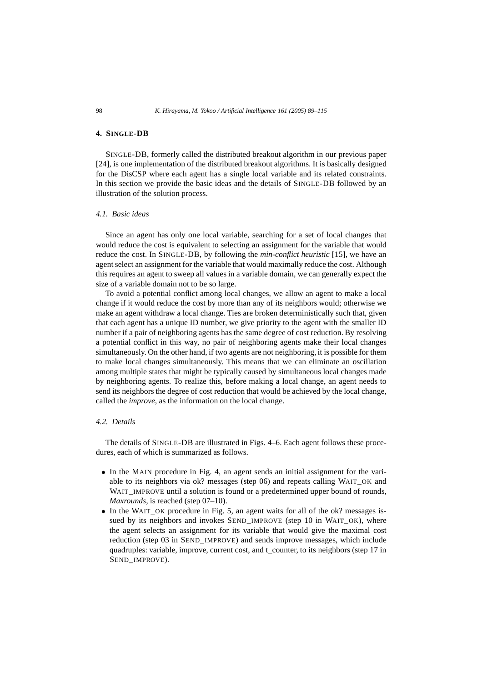# **4. SINGLE-DB**

SINGLE-DB, formerly called the distributed breakout algorithm in our previous paper [24], is one implementation of the distributed breakout algorithms. It is basically designed for the DisCSP where each agent has a single local variable and its related constraints. In this section we provide the basic ideas and the details of SINGLE-DB followed by an illustration of the solution process.

# *4.1. Basic ideas*

Since an agent has only one local variable, searching for a set of local changes that would reduce the cost is equivalent to selecting an assignment for the variable that would reduce the cost. In SINGLE-DB, by following the *min-conflict heuristic* [15], we have an agent select an assignment for the variable that would maximally reduce the cost. Although this requires an agent to sweep all values in a variable domain, we can generally expect the size of a variable domain not to be so large.

To avoid a potential conflict among local changes, we allow an agent to make a local change if it would reduce the cost by more than any of its neighbors would; otherwise we make an agent withdraw a local change. Ties are broken deterministically such that, given that each agent has a unique ID number, we give priority to the agent with the smaller ID number if a pair of neighboring agents has the same degree of cost reduction. By resolving a potential conflict in this way, no pair of neighboring agents make their local changes simultaneously. On the other hand, if two agents are not neighboring, it is possible for them to make local changes simultaneously. This means that we can eliminate an oscillation among multiple states that might be typically caused by simultaneous local changes made by neighboring agents. To realize this, before making a local change, an agent needs to send its neighbors the degree of cost reduction that would be achieved by the local change, called the *improve*, as the information on the local change.

# *4.2. Details*

The details of SINGLE-DB are illustrated in Figs. 4–6. Each agent follows these procedures, each of which is summarized as follows.

- In the MAIN procedure in Fig. 4, an agent sends an initial assignment for the variable to its neighbors via ok? messages (step 06) and repeats calling WAIT\_OK and WAIT\_IMPROVE until a solution is found or a predetermined upper bound of rounds, *Maxrounds*, is reached (step 07–10).
- In the WAIT\_OK procedure in Fig. 5, an agent waits for all of the ok? messages issued by its neighbors and invokes SEND IMPROVE (step 10 in WAIT\_OK), where the agent selects an assignment for its variable that would give the maximal cost reduction (step 03 in SEND\_IMPROVE) and sends improve messages, which include quadruples: variable, improve, current cost, and t\_counter, to its neighbors (step 17 in SEND\_IMPROVE).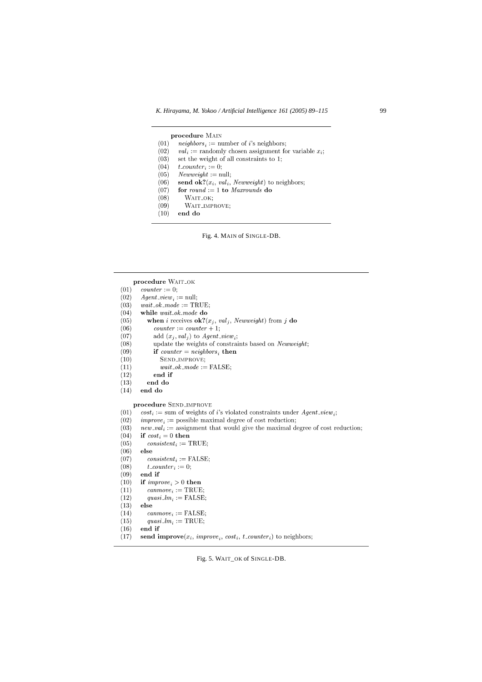#### procedure MAIN

- $(01)$ *neighbors*; := number of *i*'s neighbors;
- $(02)$  $val_i :=$  randomly chosen assignment for variable  $x_i$ ;
- $(03)$ set the weight of all constraints to 1;
- $t\_counter_i := 0;$  $(04)$
- $(05)$  $Newweight := null;$
- send ok? $(x_i, val_i, Newweight)$  to neighbors;  $(06)$
- $(07)$ for  $round := 1$  to Maxrounds do
- $(08)$ WAIT\_OK;
- $(09)$ WAIT\_IMPROVE;
- $(10)$ end do
	- Fig. 4. MAIN of SINGLE-DB.

#### procedure WAIT\_OK  $(01)$  $counter := 0;$  $(02)$  $Agent\_view_i := \text{null};$  $(03)$  $wait\_ok\_mode := \text{TRUE};$  $(04)$ while wait\_ok\_mode do  $(05)$ when *i* receives  $\mathbf{ok?}(x_j, val_j, \textit{Newweight})$  from *j* do  $(06)$  $counter := counter + 1;$  $(07)$ add  $(x_i, val_i)$  to Agent\_view<sub>i</sub>;  $(08)$ update the weights of constraints based on Newweight; if *counter* =  $neighbors_i$  then  $(09)$  $(10)$ SEND\_IMPROVE;  $(11)$  $wait\_ok\_mode := \text{FALSE};$  $(12)$ end if  $(13)$ end do  $(14)$ end do procedure SEND\_IMPROVE  $(01)$  $cost_i :=$  sum of weights of *i*'s violated constraints under *Agent\_view*<sub>i</sub>;  $(02)$  $improve_i :=$  possible maximal degree of cost reduction;  $(03)$  $new\_val_i :=$  assignment that would give the maximal degree of cost reduction;  $(04)$ if  $\mathit{cost}_i = 0$  then  $(05)$  $consistent_i := \text{TRUE};$  $(06)$ else  $(07)$  $consistent_i := FALSE;$  $(08)$  $t\_counter_i := 0;$  $(09)$ end if  $(10)$ if  $improve_i > 0$  then  $(11)$  $\mathit{cannove}_i := \text{TRUE};$  $(12)$ quasi\_lm<sub>i</sub> := FALSE;  $(13)$ else  $(14)$  $\mathit{cannot}_i := \text{FALSE};$  $(15)$ quasi\_lm<sub>i</sub> := TRUE;  $(16)$ end if  $(17)$ send improve $(x_i, \text{improve}_i, \text{cost}_i, t\text{-counter}_i)$  to neighbors;

Fig. 5. WAIT\_OK of SINGLE-DB.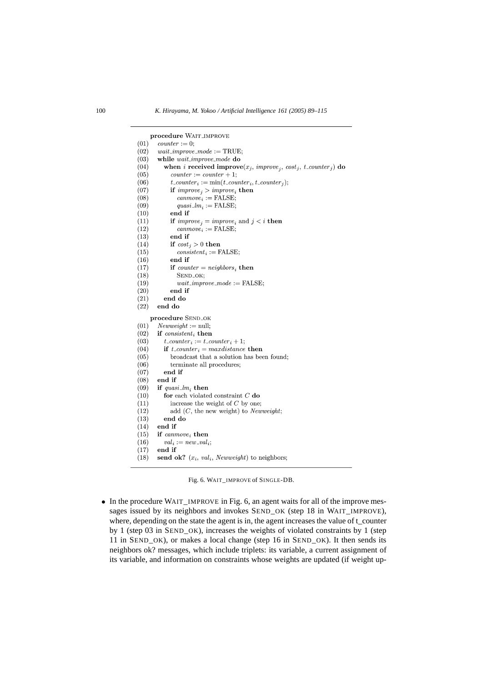```
procedure WAIT_IMPROVE
(01)counter := 0:
(02)wait\_improve\_mode := \text{TRUE};(03)while wait_improve_mode do
(04)when i received improve(x_i, \text{improve}_i, \text{cost}_i, t\text{-counter}_i) do
(05)counter := counter + 1;(06)t_{\text{-}counter}_i := \min(t_{\text{-}counter}_i, t_{\text{-}counter}_i);(07)if improve_i > improve_i then
(08)cannove_i := \text{FALSE};quasi_lm_i := \text{FALSE};(09)(10)end if
            if improve_j = improve_i and j < i then
(11)(12)\mathit{cannove}_i := \mathit{FALSE};(13)end if
(14)if cost_j > 0 then
(15)consistent_i := \text{FALSE};(16)end if
            if counter = neighbors_i then
(17)(18)SEND<sub>-OK</sub>;
(19)wait\_improve\_mode := \text{FALSE};(20)end if
(21)end do
(22)end do
    procedure SEND<sub>-OK</sub>
(01)Newweight := \text{null};(02)if consistent_i then
(03)t_{\text{-}}counter_i := t_{\text{-}}counter_i + 1;(04)if t\_counter_i = maxdistance then
            broadcast that a solution has been found;
(05)(06)terminate all procedures;
(07)end if
(08)end if
       if quasi_l_m then
(09)for each violated constraint C do
(10)(11)increase the weight of C by one;
(12)add (C, the new weight) to Newweight;
(13)end do
(14)end if
(15)if cannot_i then
(16)val_i := new\_val_i;(17)end if
       send ok? (x_i, val_i, Newweight) to neighbors;
(18)
```

|  |  |  | Fig. 6. WAIT_IMPROVE of SINGLE-DB. |
|--|--|--|------------------------------------|
|--|--|--|------------------------------------|

 $\bullet$  In the procedure WAIT IMPROVE in Fig. 6, an agent waits for all of the improve messages issued by its neighbors and invokes SEND\_OK (step 18 in WAIT\_IMPROVE), where, depending on the state the agent is in, the agent increases the value of t\_counter by 1 (step 03 in SEND\_OK), increases the weights of violated constraints by 1 (step 11 in SEND\_OK), or makes a local change (step 16 in SEND\_OK). It then sends its neighbors ok? messages, which include triplets: its variable, a current assignment of its variable, and information on constraints whose weights are updated (if weight up-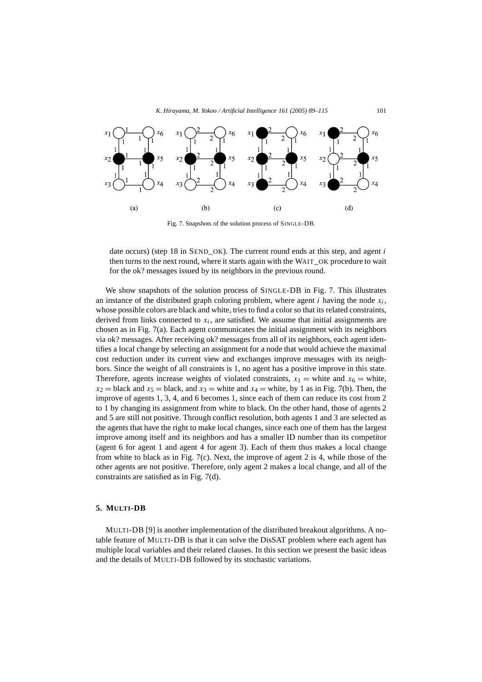

Fig. 7. Snapshots of the solution process of SINGLE-DB.

date occurs) (step 18 in SEND\_OK). The current round ends at this step, and agent *i* then turns to the next round, where it starts again with the WAIT\_OK procedure to wait for the ok? messages issued by its neighbors in the previous round.

We show snapshots of the solution process of SINGLE-DB in Fig. 7. This illustrates an instance of the distributed graph coloring problem, where agent  $i$  having the node  $x_i$ , whose possible colors are black and white, tries to find a color so that its related constraints, derived from links connected to  $x_i$ , are satisfied. We assume that initial assignments are chosen as in Fig. 7(a). Each agent communicates the initial assignment with its neighbors via ok? messages. After receiving ok? messages from all of its neighbors, each agent identifies a local change by selecting an assignment for a node that would achieve the maximal cost reduction under its current view and exchanges improve messages with its neighbors. Since the weight of all constraints is 1, no agent has a positive improve in this state. Therefore, agents increase weights of violated constraints,  $x_1$  = white and  $x_6$  = white,  $x_2$  = black and  $x_5$  = black, and  $x_3$  = white and  $x_4$  = white, by 1 as in Fig. 7(b). Then, the improve of agents 1, 3, 4, and 6 becomes 1, since each of them can reduce its cost from 2 to 1 by changing its assignment from white to black. On the other hand, those of agents 2 and 5 are still not positive. Through conflict resolution, both agents 1 and 3 are selected as the agents that have the right to make local changes, since each one of them has the largest improve among itself and its neighbors and has a smaller ID number than its competitor (agent 6 for agent 1 and agent 4 for agent 3). Each of them thus makes a local change from white to black as in Fig. 7(c). Next, the improve of agent 2 is 4, while those of the other agents are not positive. Therefore, only agent 2 makes a local change, and all of the constraints are satisfied as in Fig. 7(d).

#### **5. MULTI-DB**

MULTI-DB [9] is another implementation of the distributed breakout algorithms. A notable feature of MULTI-DB is that it can solve the DisSAT problem where each agent has multiple local variables and their related clauses. In this section we present the basic ideas and the details of MULTI-DB followed by its stochastic variations.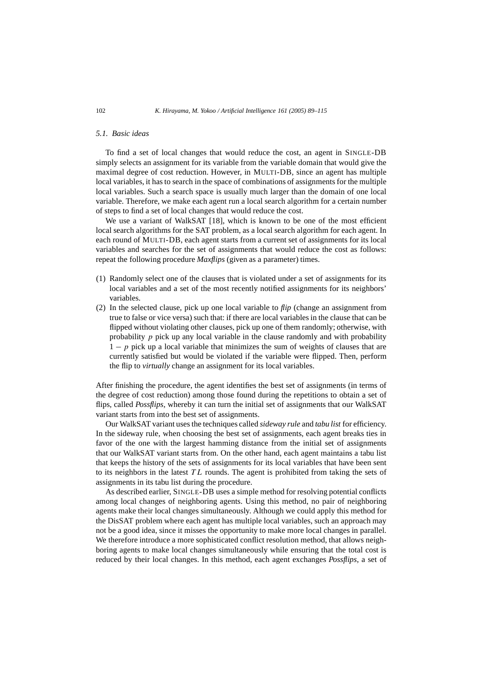# *5.1. Basic ideas*

To find a set of local changes that would reduce the cost, an agent in SINGLE-DB simply selects an assignment for its variable from the variable domain that would give the maximal degree of cost reduction. However, in MULTI-DB, since an agent has multiple local variables, it has to search in the space of combinations of assignments for the multiple local variables. Such a search space is usually much larger than the domain of one local variable. Therefore, we make each agent run a local search algorithm for a certain number of steps to find a set of local changes that would reduce the cost.

We use a variant of WalkSAT [18], which is known to be one of the most efficient local search algorithms for the SAT problem, as a local search algorithm for each agent. In each round of MULTI-DB, each agent starts from a current set of assignments for its local variables and searches for the set of assignments that would reduce the cost as follows: repeat the following procedure *Maxflips* (given as a parameter) times.

- (1) Randomly select one of the clauses that is violated under a set of assignments for its local variables and a set of the most recently notified assignments for its neighbors' variables.
- (2) In the selected clause, pick up one local variable to *flip* (change an assignment from true to false or vice versa) such that: if there are local variables in the clause that can be flipped without violating other clauses, pick up one of them randomly; otherwise, with probability *p* pick up any local variable in the clause randomly and with probability 1 − *p* pick up a local variable that minimizes the sum of weights of clauses that are currently satisfied but would be violated if the variable were flipped. Then, perform the flip to *virtually* change an assignment for its local variables.

After finishing the procedure, the agent identifies the best set of assignments (in terms of the degree of cost reduction) among those found during the repetitions to obtain a set of flips, called *Possflips*, whereby it can turn the initial set of assignments that our WalkSAT variant starts from into the best set of assignments.

Our WalkSAT variant uses the techniques called *sideway rule* and *tabu list* for efficiency. In the sideway rule, when choosing the best set of assignments, each agent breaks ties in favor of the one with the largest hamming distance from the initial set of assignments that our WalkSAT variant starts from. On the other hand, each agent maintains a tabu list that keeps the history of the sets of assignments for its local variables that have been sent to its neighbors in the latest *T L* rounds. The agent is prohibited from taking the sets of assignments in its tabu list during the procedure.

As described earlier, SINGLE-DB uses a simple method for resolving potential conflicts among local changes of neighboring agents. Using this method, no pair of neighboring agents make their local changes simultaneously. Although we could apply this method for the DisSAT problem where each agent has multiple local variables, such an approach may not be a good idea, since it misses the opportunity to make more local changes in parallel. We therefore introduce a more sophisticated conflict resolution method, that allows neighboring agents to make local changes simultaneously while ensuring that the total cost is reduced by their local changes. In this method, each agent exchanges *Possflips*, a set of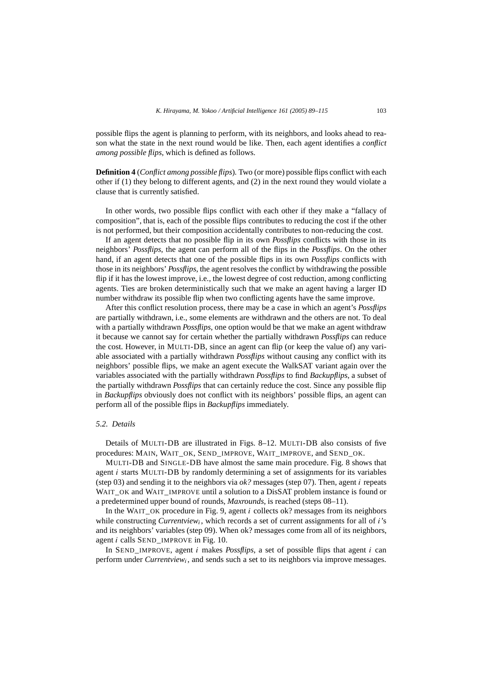possible flips the agent is planning to perform, with its neighbors, and looks ahead to reason what the state in the next round would be like. Then, each agent identifies a *conflict among possible flips*, which is defined as follows.

**Definition 4** (*Conflict among possible flips*)*.* Two (or more) possible flips conflict with each other if (1) they belong to different agents, and (2) in the next round they would violate a clause that is currently satisfied.

In other words, two possible flips conflict with each other if they make a "fallacy of composition", that is, each of the possible flips contributes to reducing the cost if the other is not performed, but their composition accidentally contributes to non-reducing the cost.

If an agent detects that no possible flip in its own *Possflips* conflicts with those in its neighbors' *Possflips*, the agent can perform all of the flips in the *Possflips*. On the other hand, if an agent detects that one of the possible flips in its own *Possflips* conflicts with those in its neighbors' *Possflips*, the agent resolves the conflict by withdrawing the possible flip if it has the lowest improve, i.e., the lowest degree of cost reduction, among conflicting agents. Ties are broken deterministically such that we make an agent having a larger ID number withdraw its possible flip when two conflicting agents have the same improve.

After this conflict resolution process, there may be a case in which an agent's *Possflips* are partially withdrawn, i.e., some elements are withdrawn and the others are not. To deal with a partially withdrawn *Possflips*, one option would be that we make an agent withdraw it because we cannot say for certain whether the partially withdrawn *Possflips* can reduce the cost. However, in MULTI-DB, since an agent can flip (or keep the value of) any variable associated with a partially withdrawn *Possflips* without causing any conflict with its neighbors' possible flips, we make an agent execute the WalkSAT variant again over the variables associated with the partially withdrawn *Possflips* to find *Backupflips*, a subset of the partially withdrawn *Possflips* that can certainly reduce the cost. Since any possible flip in *Backupflips* obviously does not conflict with its neighbors' possible flips, an agent can perform all of the possible flips in *Backupflips* immediately.

# *5.2. Details*

Details of MULTI-DB are illustrated in Figs. 8–12. MULTI-DB also consists of five procedures: MAIN, WAIT\_OK, SEND\_IMPROVE, WAIT\_IMPROVE, and SEND\_OK.

MULTI-DB and SINGLE-DB have almost the same main procedure. Fig. 8 shows that agent *i* starts MULTI-DB by randomly determining a set of assignments for its variables (step 03) and sending it to the neighbors via *ok?* messages (step 07). Then, agent *i* repeats WAIT\_OK and WAIT\_IMPROVE until a solution to a DisSAT problem instance is found or a predetermined upper bound of rounds, *Maxrounds*, is reached (steps 08–11).

In the WAIT\_OK procedure in Fig. 9, agent *i* collects ok? messages from its neighbors while constructing *Currentviewi*, which records a set of current assignments for all of *i*'s and its neighbors' variables (step 09). When ok? messages come from all of its neighbors, agent *i* calls SEND\_IMPROVE in Fig. 10.

In SEND\_IMPROVE, agent *i* makes *Possflips*, a set of possible flips that agent *i* can perform under *Currentviewi*, and sends such a set to its neighbors via improve messages.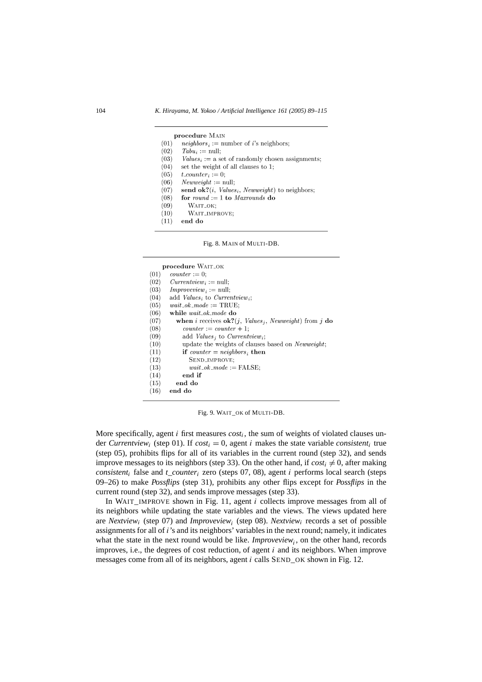|      | procedure MAIN                                      |
|------|-----------------------------------------------------|
| (01) | $neighbors_i := number of i's neighbors;$           |
| (02) | $Tabu_i := \text{null};$                            |
| (03) | $Values_i := a set of randomly chosen assignments;$ |
| (04) | set the weight of all clauses to 1;                 |
| (05) | $t\_counter_i := 0$                                 |
| (06) | $Newweight := null$                                 |
| (07) | send ok? $(i, Values_i, Newweight)$ to neighbors;   |
| (08) | for round $:= 1$ to Maxrounds do                    |
| (09) | WAIT <sub>-OK</sub> :                               |
| (10) | WAIT_IMPROVE;                                       |
| (11) | and dal                                             |

 $(11)$  end do



|      | procedure WAIT_OK                                                     |
|------|-----------------------------------------------------------------------|
| (01) | $counter := 0;$                                                       |
| (02) | $Currentview_i := \text{null};$                                       |
| (03) | $Improveview_i := null;$                                              |
| (04) | add <i>Values</i> , to <i>Currentview</i> ;                           |
| (05) | $wait\_ok\_mode := \text{TRUE};$                                      |
| (06) | while <i>wait_ok_mode</i> do                                          |
| (07) | when <i>i</i> receives $ok?(j, Values_j, Newweight)$ from <i>j</i> do |
| (08) | $counter := counter + 1;$                                             |
| (09) | add <i>Values</i> ; to <i>Currentview</i> ;                           |
| (10) | update the weights of clauses based on <i>Newweight</i> ;             |
| (11) | if counter $=$ neighbors, then                                        |
| (12) | SEND_IMPROVE;                                                         |
| (13) | $wait\_ok\_mode := FALSE;$                                            |
| (14) | end if                                                                |
| (15) | end do                                                                |
| (16) | end do                                                                |
|      |                                                                       |

Fig. 9. WAIT\_OK of MULTI-DB.

More specifically, agent *i* first measures *costi*, the sum of weights of violated clauses under *Currentview<sub>i</sub>* (step 01). If  $cost_i = 0$ , agent *i* makes the state variable *consistent<sub>i</sub>* true (step 05), prohibits flips for all of its variables in the current round (step 32), and sends improve messages to its neighbors (step 33). On the other hand, if  $cost_i \neq 0$ , after making *consistent<sup>i</sup>* false and *t*\_*counter<sup>i</sup>* zero (steps 07, 08), agent *i* performs local search (steps 09–26) to make *Possflips* (step 31), prohibits any other flips except for *Possflips* in the current round (step 32), and sends improve messages (step 33).

In WAIT\_IMPROVE shown in Fig. 11, agent *i* collects improve messages from all of its neighbors while updating the state variables and the views. The views updated here are *Nextview<sup>i</sup>* (step 07) and *Improveview<sup>i</sup>* (step 08). *Nextview<sup>i</sup>* records a set of possible assignments for all of *i*'s and its neighbors' variables in the next round; namely, it indicates what the state in the next round would be like. *Improveview*<sub>*i*</sub>, on the other hand, records improves, i.e., the degrees of cost reduction, of agent *i* and its neighbors. When improve messages come from all of its neighbors, agent *i* calls SEND\_OK shown in Fig. 12.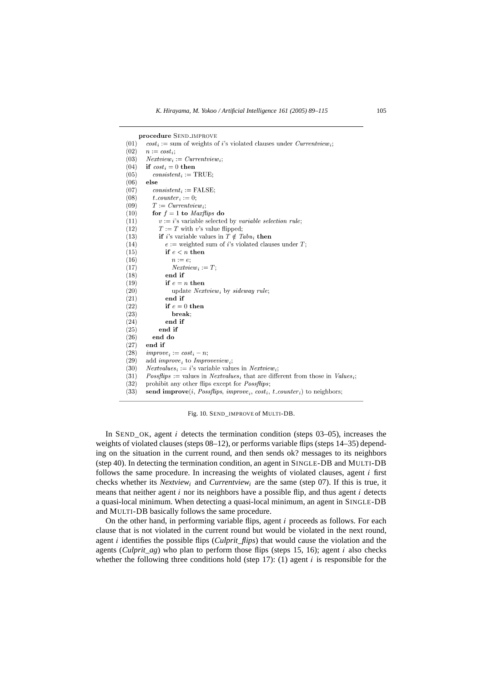```
procedure SEND_IMPROVE
(01)cost_i = sum of weights of i's violated clauses under Currentview<sub>i</sub>,
(02)n := cost_i;Nextview_i := Currentview_i;(03)if cost_i = 0 then
(04)consistent_i := \text{TRUE};(05)(06)else
(07)consistent_i := FALSE;(08)t\_counter_i := 0;(09)T := Currentview_i;(10)for f = 1 to Maxflips do
            v := i's variable selected by variable selection rule;
(11)(12)T := T with v's value flipped;
(13)if i's variable values in T \notin Tabu_i then
(14)e := weighted sum of i's violated clauses under T;
              if e < n then
(15)(16)n := e;
                Next view_i := T;
(17)end if
(18)(19)if e = n then
(20)update Nextview_i by sideway rule;
(21)end if
(22)if e = 0 then
                break:
(23)(24)end if
(25)end if
(26)end do
(27)end if
(28)improve_i := cost_i - n;(29)add improve_i to Improveview_i;
(30)Next values_i := i's variable values in Next view_i;(31)Poss flips := values in Next values_i that are different from those in Values_i;(32)prohibit any other flips except for Possflips;
(33)send improve(i, Possflips, improve_i, cost_i, t_counter_i) to neighbors;
```
Fig. 10. SEND\_IMPROVE of MULTI-DB.

In SEND\_OK, agent *i* detects the termination condition (steps 03–05), increases the weights of violated clauses (steps 08–12), or performs variable flips (steps 14–35) depending on the situation in the current round, and then sends ok? messages to its neighbors (step 40). In detecting the termination condition, an agent in SINGLE-DB and MULTI-DB follows the same procedure. In increasing the weights of violated clauses, agent *i* first checks whether its *Nextview<sup>i</sup>* and *Currentview<sup>i</sup>* are the same (step 07). If this is true, it means that neither agent *i* nor its neighbors have a possible flip, and thus agent *i* detects a quasi-local minimum. When detecting a quasi-local minimum, an agent in SINGLE-DB and MULTI-DB basically follows the same procedure.

On the other hand, in performing variable flips, agent *i* proceeds as follows. For each clause that is not violated in the current round but would be violated in the next round, agent *i* identifies the possible flips (*Culprit\_flips*) that would cause the violation and the agents (*Culprit\_ag*) who plan to perform those flips (steps 15, 16); agent *i* also checks whether the following three conditions hold (step 17): (1) agent  $i$  is responsible for the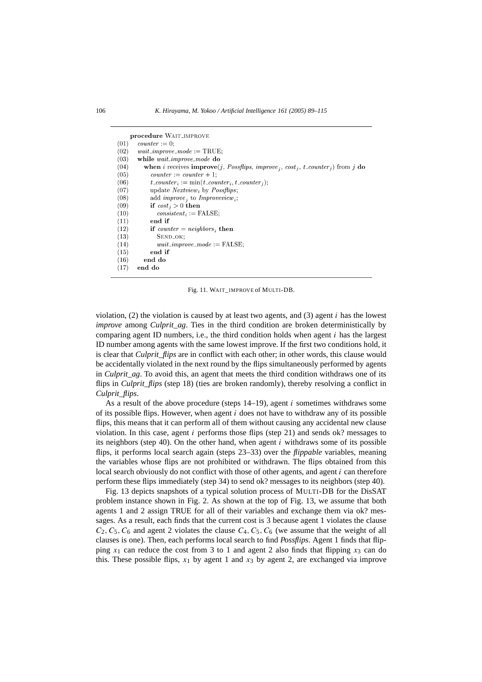procedure WAIT\_IMPROVE  $(01)$  $counter := 0$ :  $(02)$  $wait\_improve\_mode := \text{TRUE};$  $(03)$ while wait\_improve\_mode do  $(04)$ when *i* receives **improve**(*j*, *Possflips*, *improve*<sub>*i*</sub>, *cost*<sub>*i*</sub>, *t*\_*counter*<sub>*i*</sub>) from *j* **do**  $(05)$  $counter := counter + 1;$  $t\_counter_i := \min(t\_counter_i, t\_counter_i);$  $(06)$  $(07)$ update  $Nextview_i$  by  $Poss flips$ ; add  $improve_i$  to  $Improveview_i$ ;  $(08)$  $(09)$ if  $cost_i > 0$  then  $(10)$  $\label{eq:constant} consistent_i := {\rm FALSE};$  $(11)$ end if if counter =  $neighbors_i$  then  $(12)$  $(13)$ SEND<sub>-OK</sub>;  $(14)$  $wait\_improve\_mode := \text{FALSE};$  $(15)$ end if  $(16)$ end do  $(17)$ end do

Fig. 11. WAIT\_IMPROVE of MULTI-DB.

violation, (2) the violation is caused by at least two agents, and (3) agent *i* has the lowest *improve* among *Culprit ag*. Ties in the third condition are broken deterministically by comparing agent ID numbers, i.e., the third condition holds when agent *i* has the largest ID number among agents with the same lowest improve. If the first two conditions hold, it is clear that *Culprit* flips are in conflict with each other; in other words, this clause would be accidentally violated in the next round by the flips simultaneously performed by agents in *Culprit\_ag*. To avoid this, an agent that meets the third condition withdraws one of its flips in *Culprit* flips (step 18) (ties are broken randomly), thereby resolving a conflict in *Culprit\_flips*.

As a result of the above procedure (steps 14–19), agent *i* sometimes withdraws some of its possible flips. However, when agent *i* does not have to withdraw any of its possible flips, this means that it can perform all of them without causing any accidental new clause violation. In this case, agent *i* performs those flips (step 21) and sends ok? messages to its neighbors (step 40). On the other hand, when agent  $i$  withdraws some of its possible flips, it performs local search again (steps 23–33) over the *flippable* variables, meaning the variables whose flips are not prohibited or withdrawn. The flips obtained from this local search obviously do not conflict with those of other agents, and agent *i* can therefore perform these flips immediately (step 34) to send ok? messages to its neighbors (step 40).

Fig. 13 depicts snapshots of a typical solution process of MULTI-DB for the DisSAT problem instance shown in Fig. 2. As shown at the top of Fig. 13, we assume that both agents 1 and 2 assign TRUE for all of their variables and exchange them via ok? messages. As a result, each finds that the current cost is 3 because agent 1 violates the clause  $C_2$ ,  $C_5$ ,  $C_6$  and agent 2 violates the clause  $C_4$ ,  $C_5$ ,  $C_6$  (we assume that the weight of all clauses is one). Then, each performs local search to find *Possflips*. Agent 1 finds that flipping  $x_1$  can reduce the cost from 3 to 1 and agent 2 also finds that flipping  $x_3$  can do this. These possible flips,  $x_1$  by agent 1 and  $x_3$  by agent 2, are exchanged via improve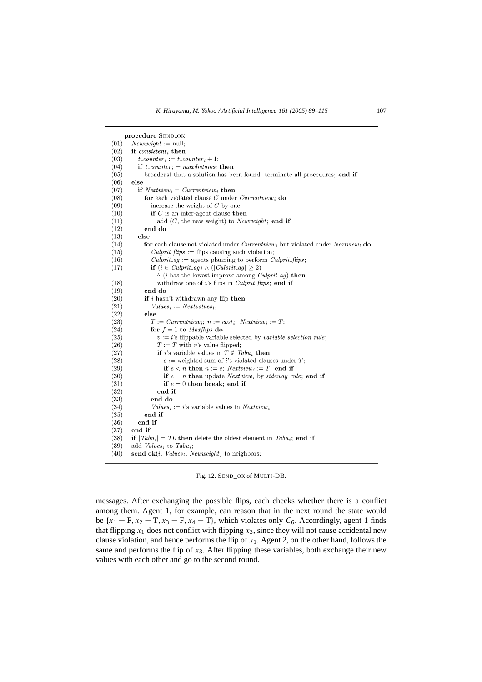```
procedure SEND<sub>-OK</sub>
(01)Newweight := null;(02)if consistent_i then
(03)t_{\text{-}counter}_i := t_{\text{-}counter}_i + 1;(04)if t_{\text{-}counter_i} = \text{maxdistance} then
(05)broadcast that a solution has been found; terminate all procedures; end if
(06)else
(07)if Nextview_i = Currentview_i then
            for each violated clause C under \textit{Currentview}_i do
(08)(09)increase the weight of C by one;
(10)if C is an inter-agent clause then
                 add (C, the new weight) to Newweight; end if
(11)(12)end do
(13)else
(14)for each clause not violated under Currentview_i but violated under Nextview_i do
(15)Culpt\_flips := flips causing such violation;
               Culprit\_ag := agents planning to perform Culprit\_flips;(16)if (i \in \text{Culprit\_ag}) \land (|\text{Culprit\_ag}| \geq 2)(17)\wedge (i has the lowest improve among Culprit<sub>ag</sub>) then
                 withdraw one of i's flips in Culprit_flips; end if
(18)(19)end do
(20)if i hasn't withdrawn any flip then
(21)Values_i := Next values_i;(22)else
              T := Currentview_i; n := cost_i; Nextview_i := T;(23)for f = 1 to Maxflips do
(24)v := i's flippable variable selected by variable selection rule;
(25)T := T with v's value flipped;
(26)if i's variable values in T \notin Tabu_i then
(27)(28)e := weighted sum of i's violated clauses under T;
(29)if e < n then n := e; Nextriew<sub>i</sub> := T; end if
(30)if e = n then update Nextriew<sub>i</sub> by sideway rule; end if
(31)if e = 0 then break; end if
(32)end if
(33)end do
(34)Values_i := i's variable values in Nextview_i;
(35)end if
(36)end if
(37)end if
(38)if |Tabu_i| = TL then delete the oldest element in Tabu_i; end if
(39)add Values_i to Tabu_i;
(40)send ok(i, Values_i, Newweight) to neighbors;
```
#### Fig. 12. SEND\_OK of MULTI-DB.

messages. After exchanging the possible flips, each checks whether there is a conflict among them. Agent 1, for example, can reason that in the next round the state would be  ${x_1 = F, x_2 = T, x_3 = F, x_4 = T}$ , which violates only  $C_6$ . Accordingly, agent 1 finds that flipping  $x_1$  does not conflict with flipping  $x_3$ , since they will not cause accidental new clause violation, and hence performs the flip of *x*1. Agent 2, on the other hand, follows the same and performs the flip of *x*3. After flipping these variables, both exchange their new values with each other and go to the second round.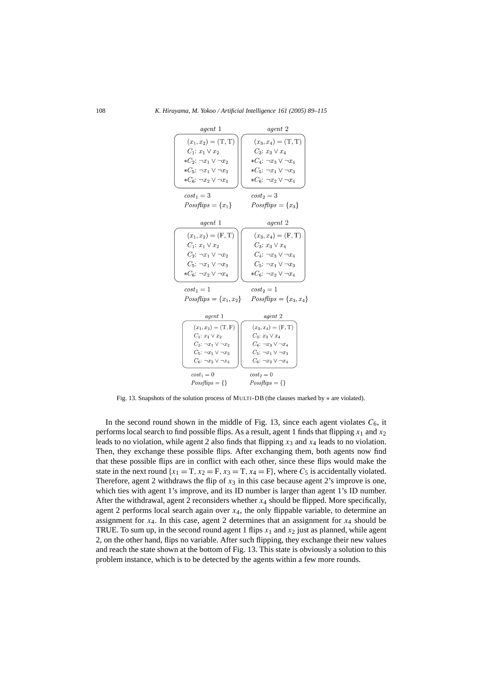| agent 1                          | agent 2                          |
|----------------------------------|----------------------------------|
| $(x_1, x_2) = (T, T)$            | $(x_3, x_4) = (T, T)$            |
| $C_1{:}~x_1 \vee x_2$            | $C_3: x_3 \vee x_4$              |
| $*C_2: \neg x_1 \vee \neg x_2$   | $*C_4: \neg x_3 \vee \neg x_4$   |
| $*C_5: \neg x_1 \vee \neg x_3$   | $*C_5: \neg x_1 \vee \neg x_3$   |
| $*C_6: \neg x_2 \vee \neg x_4$   | $*C_6: \neg x_2 \vee \neg x_4$   |
| $cost_1 = 3$                     | $cost_2 = 3$                     |
| $Possflips = \{x_1\}$            | $Possflips = \{x_3\}$            |
| agent 1                          | agent 2                          |
| $(x_1, x_2) = (F, T)$            | $(x_3, x_4) = (F, T)$            |
| $C_1: x_1 \vee x_2$              | $C_3: x_3 \vee x_4$              |
| $C_2: \neg x_1 \vee \neg x_2$    | $C_4$ : $\neg x_3 \vee \neg x_4$ |
| $C_5: \neg x_1 \vee \neg x_3$    | $C_5: \neg x_1 \vee \neg x_3$    |
| $*C_6: \neg x_2 \vee \neg x_4$   | $*C_6: \neg x_2 \lor \neg x_4$   |
| $cost_1 = 1$                     | $cost_2 = 1$                     |
| $Possflips = \{x_1, x_2\}$       | $Possflips = \{x_3, x_4\}$       |
| agent 1                          | agent 2                          |
| $(x_1, x_2) = (T, F)$            | $(x_3, x_4) = (F, T)$            |
| $C_1: x_1 \vee x_2$              | $C_3: x_3 \vee x_4$              |
| $C_2: \neg x_1 \vee \neg x_2$    | $C_4$ : $\neg x_3 \vee \neg x_4$ |
| $C_5: \neg x_1 \vee \neg x_3$    | $C_5: \neg x_1 \vee \neg x_3$    |
| $C_6$ : $\neg x_2 \vee \neg x_4$ | $C_6: \neg x_2 \vee \neg x_4$    |
| $cost_1 = 0$                     | $cost_2 = 0$                     |
| $Possflips = \{\}$               | $Possflips = \{\}$               |

Fig. 13. Snapshots of the solution process of MULTI-DB (the clauses marked by ∗ are violated).

In the second round shown in the middle of Fig. 13, since each agent violates  $C_6$ , it performs local search to find possible flips. As a result, agent 1 finds that flipping  $x_1$  and  $x_2$ leads to no violation, while agent 2 also finds that flipping  $x_3$  and  $x_4$  leads to no violation. Then, they exchange these possible flips. After exchanging them, both agents now find that these possible flips are in conflict with each other, since these flips would make the state in the next round  $\{x_1 = T, x_2 = F, x_3 = T, x_4 = F\}$ , where  $C_5$  is accidentally violated. Therefore, agent 2 withdraws the flip of *x*<sup>3</sup> in this case because agent 2's improve is one, which ties with agent 1's improve, and its ID number is larger than agent 1's ID number. After the withdrawal, agent 2 reconsiders whether  $x_4$  should be flipped. More specifically, agent 2 performs local search again over *x*4, the only flippable variable, to determine an assignment for  $x_4$ . In this case, agent 2 determines that an assignment for  $x_4$  should be TRUE. To sum up, in the second round agent 1 flips  $x_1$  and  $x_2$  just as planned, while agent 2, on the other hand, flips no variable. After such flipping, they exchange their new values and reach the state shown at the bottom of Fig. 13. This state is obviously a solution to this problem instance, which is to be detected by the agents within a few more rounds.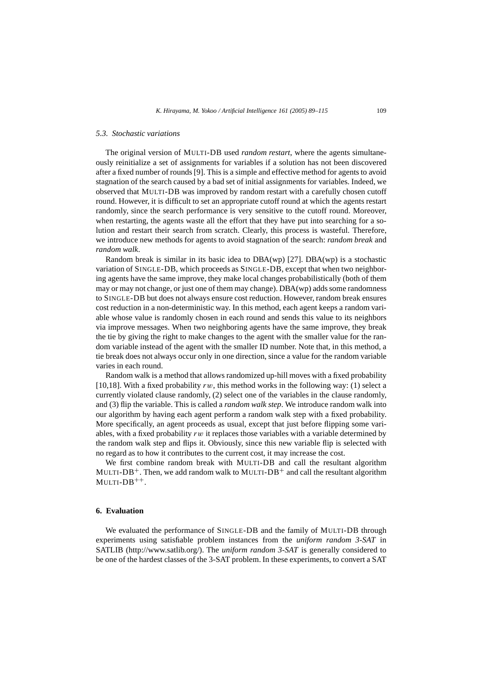#### *5.3. Stochastic variations*

The original version of MULTI-DB used *random restart*, where the agents simultaneously reinitialize a set of assignments for variables if a solution has not been discovered after a fixed number of rounds [9]. This is a simple and effective method for agents to avoid stagnation of the search caused by a bad set of initial assignments for variables. Indeed, we observed that MULTI-DB was improved by random restart with a carefully chosen cutoff round. However, it is difficult to set an appropriate cutoff round at which the agents restart randomly, since the search performance is very sensitive to the cutoff round. Moreover, when restarting, the agents waste all the effort that they have put into searching for a solution and restart their search from scratch. Clearly, this process is wasteful. Therefore, we introduce new methods for agents to avoid stagnation of the search: *random break* and *random walk*.

Random break is similar in its basic idea to  $DBA(wp)$  [27].  $DBA(wp)$  is a stochastic variation of SINGLE-DB, which proceeds as SINGLE-DB, except that when two neighboring agents have the same improve, they make local changes probabilistically (both of them may or may not change, or just one of them may change). DBA(wp) adds some randomness to SINGLE-DB but does not always ensure cost reduction. However, random break ensures cost reduction in a non-deterministic way. In this method, each agent keeps a random variable whose value is randomly chosen in each round and sends this value to its neighbors via improve messages. When two neighboring agents have the same improve, they break the tie by giving the right to make changes to the agent with the smaller value for the random variable instead of the agent with the smaller ID number. Note that, in this method, a tie break does not always occur only in one direction, since a value for the random variable varies in each round.

Random walk is a method that allows randomized up-hill moves with a fixed probability [10,18]. With a fixed probability *rw*, this method works in the following way: (1) select a currently violated clause randomly, (2) select one of the variables in the clause randomly, and (3) flip the variable. This is called a *random walk step*. We introduce random walk into our algorithm by having each agent perform a random walk step with a fixed probability. More specifically, an agent proceeds as usual, except that just before flipping some variables, with a fixed probability  $rw$  it replaces those variables with a variable determined by the random walk step and flips it. Obviously, since this new variable flip is selected with no regard as to how it contributes to the current cost, it may increase the cost.

We first combine random break with MULTI-DB and call the resultant algorithm MULTI-DB<sup>+</sup>. Then, we add random walk to MULTI-DB<sup>+</sup> and call the resultant algorithm MULTI- $DB^{++}$ .

# **6. Evaluation**

We evaluated the performance of SINGLE-DB and the family of MULTI-DB through experiments using satisfiable problem instances from the *uniform random 3-SAT* in SATLIB (http://www.satlib.org/). The *uniform random 3-SAT* is generally considered to be one of the hardest classes of the 3-SAT problem. In these experiments, to convert a SAT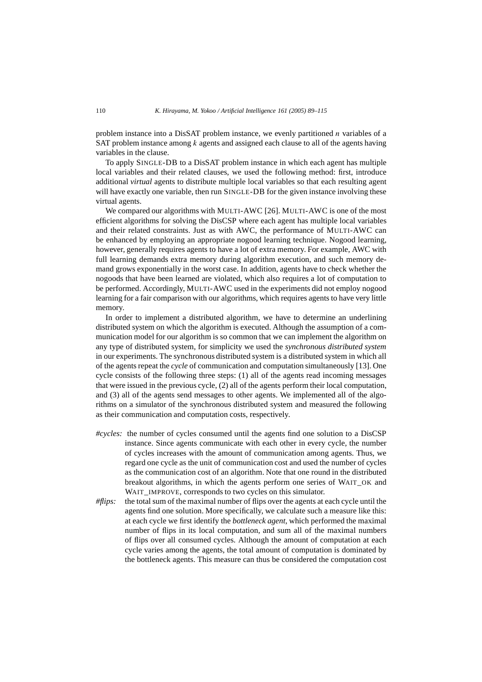problem instance into a DisSAT problem instance, we evenly partitioned *n* variables of a SAT problem instance among *k* agents and assigned each clause to all of the agents having variables in the clause.

To apply SINGLE-DB to a DisSAT problem instance in which each agent has multiple local variables and their related clauses, we used the following method: first, introduce additional *virtual* agents to distribute multiple local variables so that each resulting agent will have exactly one variable, then run SINGLE-DB for the given instance involving these virtual agents.

We compared our algorithms with MULTI-AWC [26]. MULTI-AWC is one of the most efficient algorithms for solving the DisCSP where each agent has multiple local variables and their related constraints. Just as with AWC, the performance of MULTI-AWC can be enhanced by employing an appropriate nogood learning technique. Nogood learning, however, generally requires agents to have a lot of extra memory. For example, AWC with full learning demands extra memory during algorithm execution, and such memory demand grows exponentially in the worst case. In addition, agents have to check whether the nogoods that have been learned are violated, which also requires a lot of computation to be performed. Accordingly, MULTI-AWC used in the experiments did not employ nogood learning for a fair comparison with our algorithms, which requires agents to have very little memory.

In order to implement a distributed algorithm, we have to determine an underlining distributed system on which the algorithm is executed. Although the assumption of a communication model for our algorithm is so common that we can implement the algorithm on any type of distributed system, for simplicity we used the *synchronous distributed system* in our experiments. The synchronous distributed system is a distributed system in which all of the agents repeat the *cycle* of communication and computation simultaneously [13]. One cycle consists of the following three steps: (1) all of the agents read incoming messages that were issued in the previous cycle, (2) all of the agents perform their local computation, and (3) all of the agents send messages to other agents. We implemented all of the algorithms on a simulator of the synchronous distributed system and measured the following as their communication and computation costs, respectively.

- *#cycles:* the number of cycles consumed until the agents find one solution to a DisCSP instance. Since agents communicate with each other in every cycle, the number of cycles increases with the amount of communication among agents. Thus, we regard one cycle as the unit of communication cost and used the number of cycles as the communication cost of an algorithm. Note that one round in the distributed breakout algorithms, in which the agents perform one series of WAIT\_OK and WAIT\_IMPROVE, corresponds to two cycles on this simulator.
- *#flips:* the total sum of the maximal number of flips over the agents at each cycle until the agents find one solution. More specifically, we calculate such a measure like this: at each cycle we first identify the *bottleneck agent*, which performed the maximal number of flips in its local computation, and sum all of the maximal numbers of flips over all consumed cycles. Although the amount of computation at each cycle varies among the agents, the total amount of computation is dominated by the bottleneck agents. This measure can thus be considered the computation cost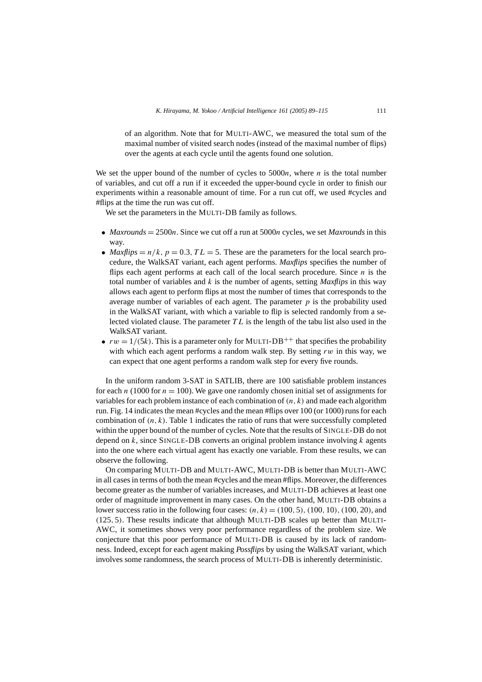of an algorithm. Note that for MULTI-AWC, we measured the total sum of the maximal number of visited search nodes (instead of the maximal number of flips) over the agents at each cycle until the agents found one solution.

We set the upper bound of the number of cycles to 5000*n*, where *n* is the total number of variables, and cut off a run if it exceeded the upper-bound cycle in order to finish our experiments within a reasonable amount of time. For a run cut off, we used #cycles and #flips at the time the run was cut off.

We set the parameters in the MULTI-DB family as follows.

- *Maxrounds* = 2500*n*. Since we cut off a run at 5000*n* cycles, we set *Maxrounds* in this way.
- *Maxflips* =  $n/k$ ,  $p = 0.3$ ,  $TL = 5$ . These are the parameters for the local search procedure, the WalkSAT variant, each agent performs. *Maxflips* specifies the number of flips each agent performs at each call of the local search procedure. Since *n* is the total number of variables and *k* is the number of agents, setting *Maxflips* in this way allows each agent to perform flips at most the number of times that corresponds to the average number of variables of each agent. The parameter  $p$  is the probability used in the WalkSAT variant, with which a variable to flip is selected randomly from a selected violated clause. The parameter *T L* is the length of the tabu list also used in the WalkSAT variant.
- $rw = 1/(5k)$ . This is a parameter only for MULTI-DB<sup>++</sup> that specifies the probability with which each agent performs a random walk step. By setting *rw* in this way, we can expect that one agent performs a random walk step for every five rounds.

In the uniform random 3-SAT in SATLIB, there are 100 satisfiable problem instances for each *n* (1000 for  $n = 100$ ). We gave one randomly chosen initial set of assignments for variables for each problem instance of each combination of *(n, k)* and made each algorithm run. Fig. 14 indicates the mean #cycles and the mean #flips over 100 (or 1000) runs for each combination of  $(n, k)$ . Table 1 indicates the ratio of runs that were successfully completed within the upper bound of the number of cycles. Note that the results of SINGLE-DB do not depend on *k*, since SINGLE-DB converts an original problem instance involving *k* agents into the one where each virtual agent has exactly one variable. From these results, we can observe the following.

On comparing MULTI-DB and MULTI-AWC, MULTI-DB is better than MULTI-AWC in all cases in terms of both the mean #cycles and the mean #flips. Moreover, the differences become greater as the number of variables increases, and MULTI-DB achieves at least one order of magnitude improvement in many cases. On the other hand, MULTI-DB obtains a lower success ratio in the following four cases:  $(n, k) = (100, 5)$ ,  $(100, 10)$ ,  $(100, 20)$ , and *(*125*,* 5*)*. These results indicate that although MULTI-DB scales up better than MULTI-AWC, it sometimes shows very poor performance regardless of the problem size. We conjecture that this poor performance of MULTI-DB is caused by its lack of randomness. Indeed, except for each agent making *Possflips* by using the WalkSAT variant, which involves some randomness, the search process of MULTI-DB is inherently deterministic.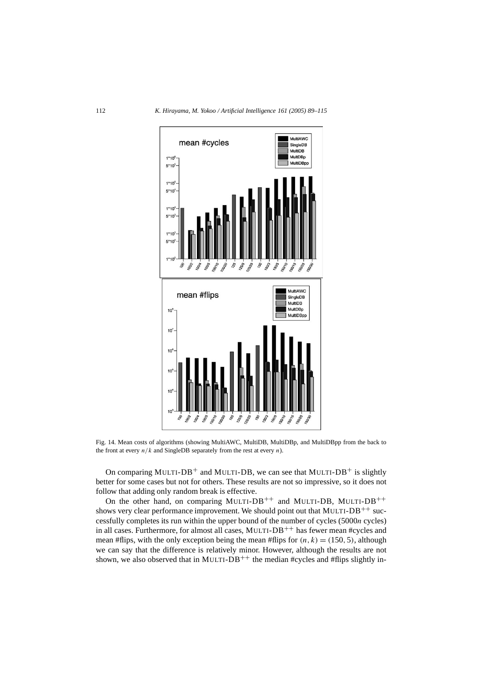

Fig. 14. Mean costs of algorithms (showing MultiAWC, MultiDB, MultiDBp, and MultiDBpp from the back to the front at every  $n/k$  and SingleDB separately from the rest at every *n*).

On comparing MULTI-DB<sup>+</sup> and MULTI-DB, we can see that MULTI-DB<sup>+</sup> is slightly better for some cases but not for others. These results are not so impressive, so it does not follow that adding only random break is effective.

On the other hand, on comparing MULTI-DB<sup>++</sup> and MULTI-DB, MULTI-DB<sup>++</sup> shows very clear performance improvement. We should point out that  $MULTI-DB++$  successfully completes its run within the upper bound of the number of cycles (5000*n* cycles) in all cases. Furthermore, for almost all cases,  $MULTI-DB$ <sup>++</sup> has fewer mean #cycles and mean #flips, with the only exception being the mean #flips for  $(n, k) = (150, 5)$ , although we can say that the difference is relatively minor. However, although the results are not shown, we also observed that in MULTI-DB<sup>++</sup> the median #cycles and #flips slightly in-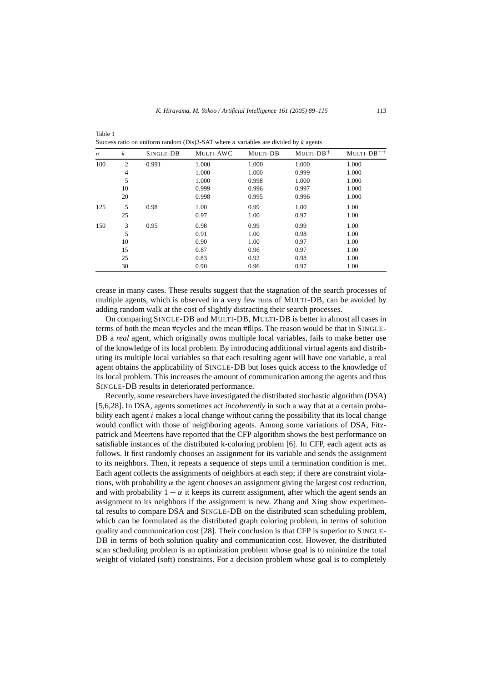| $\boldsymbol{n}$ | $\boldsymbol{k}$ | SINGLE-DB | MULTI-AWC | MULTI-DB | $MULTI-DB$ <sup>+</sup> | $MULTI-DB++$ |
|------------------|------------------|-----------|-----------|----------|-------------------------|--------------|
| 100              | 2                | 0.991     | 1.000     | 1.000    | 1.000                   | 1.000        |
|                  | 4                |           | 1.000     | 1.000    | 0.999                   | 1.000        |
|                  | 5                |           | 1.000     | 0.998    | 1.000                   | 1.000        |
|                  | 10               |           | 0.999     | 0.996    | 0.997                   | 1.000        |
|                  | 20               |           | 0.998     | 0.995    | 0.996                   | 1.000        |
| 125              | 5                | 0.98      | 1.00      | 0.99     | 1.00                    | 1.00         |
|                  | 25               |           | 0.97      | 1.00     | 0.97                    | 1.00         |
| 150              | 3                | 0.95      | 0.98      | 0.99     | 0.99                    | 1.00         |
|                  | 5                |           | 0.91      | 1.00     | 0.98                    | 1.00         |
|                  | 10               |           | 0.90      | 1.00     | 0.97                    | 1.00         |
|                  | 15               |           | 0.87      | 0.96     | 0.97                    | 1.00         |
|                  | 25               |           | 0.83      | 0.92     | 0.98                    | 1.00         |
|                  | 30               |           | 0.90      | 0.96     | 0.97                    | 1.00         |

Table 1 Success ratio on uniform random (Dis)3-SAT where *n* variables are divided by *k* agents

crease in many cases. These results suggest that the stagnation of the search processes of multiple agents, which is observed in a very few runs of MULTI-DB, can be avoided by adding random walk at the cost of slightly distracting their search processes.

On comparing SINGLE-DB and MULTI-DB, MULTI-DB is better in almost all cases in terms of both the mean #cycles and the mean #flips. The reason would be that in SINGLE-DB a *real* agent, which originally owns multiple local variables, fails to make better use of the knowledge of its local problem. By introducing additional virtual agents and distributing its multiple local variables so that each resulting agent will have one variable, a real agent obtains the applicability of SINGLE-DB but loses quick access to the knowledge of its local problem. This increases the amount of communication among the agents and thus SINGLE-DB results in deteriorated performance.

Recently, some researchers have investigated the distributed stochastic algorithm (DSA) [5,6,28]. In DSA, agents sometimes act *incoherently* in such a way that at a certain probability each agent *i* makes a local change without caring the possibility that its local change would conflict with those of neighboring agents. Among some variations of DSA, Fitzpatrick and Meertens have reported that the CFP algorithm shows the best performance on satisfiable instances of the distributed k-coloring problem [6]. In CFP, each agent acts as follows. It first randomly chooses an assignment for its variable and sends the assignment to its neighbors. Then, it repeats a sequence of steps until a termination condition is met. Each agent collects the assignments of neighbors at each step; if there are constraint violations, with probability  $\alpha$  the agent chooses an assignment giving the largest cost reduction, and with probability  $1 - \alpha$  it keeps its current assignment, after which the agent sends an assignment to its neighbors if the assignment is new. Zhang and Xing show experimental results to compare DSA and SINGLE-DB on the distributed scan scheduling problem, which can be formulated as the distributed graph coloring problem, in terms of solution quality and communication cost [28]. Their conclusion is that CFP is superior to SINGLE-DB in terms of both solution quality and communication cost. However, the distributed scan scheduling problem is an optimization problem whose goal is to minimize the total weight of violated (soft) constraints. For a decision problem whose goal is to completely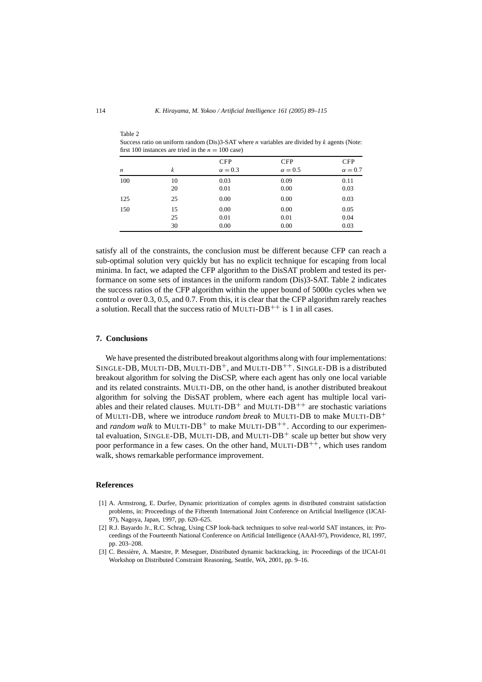| $\boldsymbol{n}$ | $\boldsymbol{k}$ | <b>CFP</b><br>$\alpha = 0.3$ | <b>CFP</b><br>$\alpha = 0.5$ | <b>CFP</b><br>$\alpha = 0.7$ |
|------------------|------------------|------------------------------|------------------------------|------------------------------|
|                  |                  |                              |                              |                              |
| 100              | 10               | 0.03                         | 0.09                         | 0.11                         |
|                  | 20               | 0.01                         | 0.00                         | 0.03                         |
| 125              | 25               | 0.00                         | 0.00                         | 0.03                         |
| 150              | 15               | 0.00                         | 0.00                         | 0.05                         |
|                  | 25               | 0.01                         | 0.01                         | 0.04                         |
|                  | 30               | 0.00                         | 0.00                         | 0.03                         |

Success ratio on uniform random (Dis)3-SAT where *n* variables are divided by *k* agents (Note: first 100 instances are tried in the  $n = 100$  case)

satisfy all of the constraints, the conclusion must be different because CFP can reach a sub-optimal solution very quickly but has no explicit technique for escaping from local minima. In fact, we adapted the CFP algorithm to the DisSAT problem and tested its performance on some sets of instances in the uniform random (Dis)3-SAT. Table 2 indicates the success ratios of the CFP algorithm within the upper bound of 5000*n* cycles when we control  $\alpha$  over 0.3, 0.5, and 0.7. From this, it is clear that the CFP algorithm rarely reaches a solution. Recall that the success ratio of MULTI- $DB^{++}$  is 1 in all cases.

#### **7. Conclusions**

We have presented the distributed breakout algorithms along with four implementations: SINGLE-DB, MULTI-DB, MULTI-DB<sup>+</sup>, and MULTI-DB<sup>++</sup>. SINGLE-DB is a distributed breakout algorithm for solving the DisCSP, where each agent has only one local variable and its related constraints. MULTI-DB, on the other hand, is another distributed breakout algorithm for solving the DisSAT problem, where each agent has multiple local variables and their related clauses. MULTI- $DB^+$  and MULTI- $DB^{++}$  are stochastic variations of MULTI-DB, where we introduce *random break* to MULTI-DB to make MULTI-DB<sup>+</sup> and *random walk* to MULTI-DB<sup>+</sup> to make MULTI-DB<sup>++</sup>. According to our experimental evaluation, SINGLE-DB, MULTI-DB, and MULTI-DB $^+$  scale up better but show very poor performance in a few cases. On the other hand,  $MULTI-DB^{++}$ , which uses random walk, shows remarkable performance improvement.

## **References**

- [1] A. Armstrong, E. Durfee, Dynamic prioritization of complex agents in distributed constraint satisfaction problems, in: Proceedings of the Fifteenth International Joint Conference on Artificial Intelligence (IJCAI-97), Nagoya, Japan, 1997, pp. 620–625.
- [2] R.J. Bayardo Jr., R.C. Schrag, Using CSP look-back techniques to solve real-world SAT instances, in: Proceedings of the Fourteenth National Conference on Artificial Intelligence (AAAI-97), Providence, RI, 1997, pp. 203–208.
- [3] C. Bessière, A. Maestre, P. Meseguer, Distributed dynamic backtracking, in: Proceedings of the IJCAI-01 Workshop on Distributed Constraint Reasoning, Seattle, WA, 2001, pp. 9–16.

Table 2